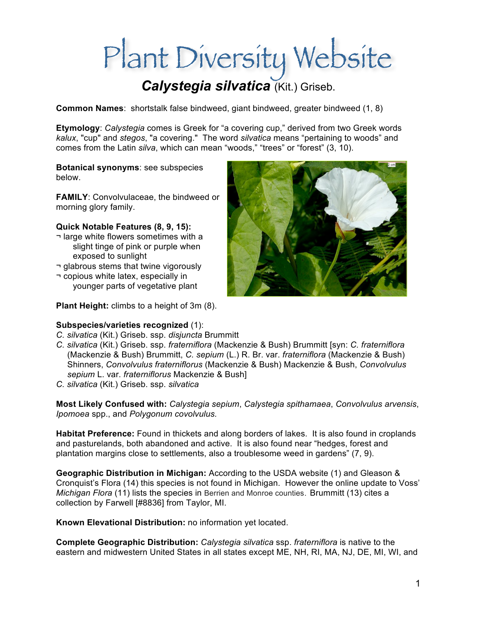# Plant Diversity Website

# *Calystegia silvatica* (Kit.) Griseb.

**Common Names**: shortstalk false bindweed, giant bindweed, greater bindweed (1, 8)

**Etymology**: *Calystegia* comes is Greek for "a covering cup," derived from two Greek words *kalux*, "cup" and *stegos*, "a covering." The word *silvatica* means "pertaining to woods" and comes from the Latin *silva*, which can mean "woods," "trees" or "forest" (3, 10).

**Botanical synonyms**: see subspecies below.

**FAMILY**: Convolvulaceae, the bindweed or morning glory family.

#### **Quick Notable Features (8, 9, 15):**

- ¬ large white flowers sometimes with a slight tinge of pink or purple when exposed to sunlight
- ¬ glabrous stems that twine vigorously
- ¬ copious white latex, especially in younger parts of vegetative plant

**Plant Height:** climbs to a height of 3m (8).

#### **Subspecies/varieties recognized** (1):

- *C. silvatica* (Kit.) Griseb. ssp. *disjuncta* Brummitt
- *C. silvatica* (Kit.) Griseb. ssp. *fraterniflora* (Mackenzie & Bush) Brummitt [syn: *C. fraterniflora* (Mackenzie & Bush) Brummitt, *C. sepium* (L.) R. Br. var. *fraterniflora* (Mackenzie & Bush) Shinners, *Convolvulus fraterniflorus* (Mackenzie & Bush) Mackenzie & Bush, *Convolvulus sepium* L. var. *fraterniflorus* Mackenzie & Bush]
- *C. silvatica* (Kit.) Griseb. ssp. *silvatica*

**Most Likely Confused with:** *Calystegia sepium*, *Calystegia spithamaea*, *Convolvulus arvensis*, *Ipomoea* spp., and *Polygonum covolvulus.*

**Habitat Preference:** Found in thickets and along borders of lakes. It is also found in croplands and pasturelands, both abandoned and active. It is also found near "hedges, forest and plantation margins close to settlements, also a troublesome weed in gardens" (7, 9).

**Geographic Distribution in Michigan:** According to the USDA website (1) and Gleason & Cronquist's Flora (14) this species is not found in Michigan. However the online update to Voss' *Michigan Flora* (11) lists the species in Berrien and Monroe counties. Brummitt (13) cites a collection by Farwell [#8836] from Taylor, MI.

**Known Elevational Distribution:** no information yet located.

**Complete Geographic Distribution:** *Calystegia silvatica* ssp. *fraterniflora* is native to the eastern and midwestern United States in all states except ME, NH, RI, MA, NJ, DE, MI, WI, and

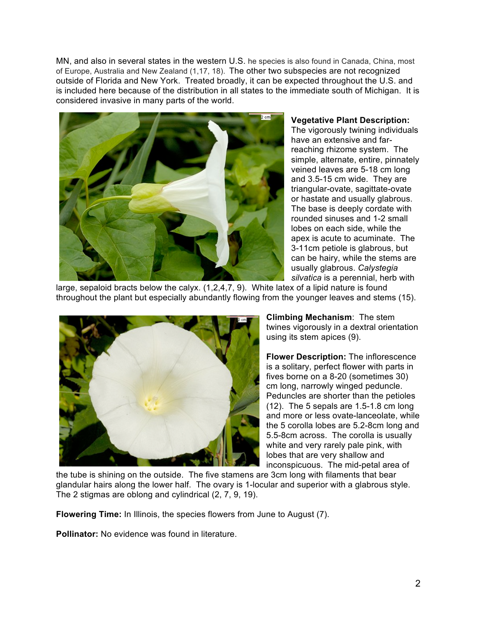MN, and also in several states in the western U.S. he species is also found in Canada, China, most of Europe, Australia and New Zealand (1,17, 18). The other two subspecies are not recognized outside of Florida and New York. Treated broadly, it can be expected throughout the U.S. and is included here because of the distribution in all states to the immediate south of Michigan. It is considered invasive in many parts of the world.



**Vegetative Plant Description:**  The vigorously twining individuals have an extensive and farreaching rhizome system. The simple, alternate, entire, pinnately veined leaves are 5-18 cm long and 3.5-15 cm wide. They are triangular-ovate, sagittate-ovate or hastate and usually glabrous. The base is deeply cordate with rounded sinuses and 1-2 small lobes on each side, while the apex is acute to acuminate. The 3-11cm petiole is glabrous, but can be hairy, while the stems are usually glabrous. *Calystegia silvatica* is a perennial, herb with

large, sepaloid bracts below the calyx. (1,2,4,7, 9). White latex of a lipid nature is found throughout the plant but especially abundantly flowing from the younger leaves and stems (15).



**Climbing Mechanism**: The stem twines vigorously in a dextral orientation using its stem apices (9).

**Flower Description:** The inflorescence is a solitary, perfect flower with parts in fives borne on a 8-20 (sometimes 30) cm long, narrowly winged peduncle. Peduncles are shorter than the petioles (12). The 5 sepals are 1.5-1.8 cm long and more or less ovate-lanceolate, while the 5 corolla lobes are 5.2-8cm long and 5.5-8cm across. The corolla is usually white and very rarely pale pink, with lobes that are very shallow and inconspicuous. The mid-petal area of

the tube is shining on the outside. The five stamens are 3cm long with filaments that bear glandular hairs along the lower half. The ovary is 1-locular and superior with a glabrous style. The 2 stigmas are oblong and cylindrical (2, 7, 9, 19).

**Flowering Time:** In Illinois, the species flowers from June to August (7).

**Pollinator:** No evidence was found in literature.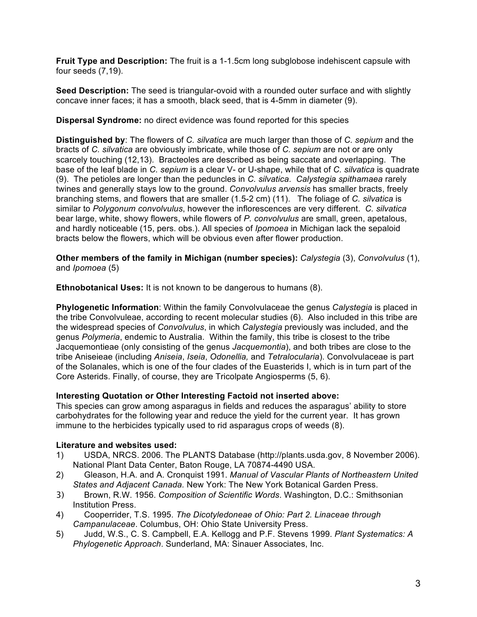**Fruit Type and Description:** The fruit is a 1-1.5cm long subglobose indehiscent capsule with four seeds (7,19).

**Seed Description:** The seed is triangular-ovoid with a rounded outer surface and with slightly concave inner faces; it has a smooth, black seed, that is 4-5mm in diameter (9).

**Dispersal Syndrome:** no direct evidence was found reported for this species

**Distinguished by**: The flowers of *C. silvatica* are much larger than those of *C. sepium* and the bracts of *C. silvatica* are obviously imbricate, while those of *C. sepium* are not or are only scarcely touching (12,13). Bracteoles are described as being saccate and overlapping. The base of the leaf blade in *C. sepium* is a clear V- or U-shape, while that of *C. silvatica* is quadrate (9). The petioles are longer than the peduncles in *C. silvatica*. *Calystegia spithamaea* rarely twines and generally stays low to the ground. *Convolvulus arvensis* has smaller bracts, freely branching stems, and flowers that are smaller (1.5-2 cm) (11). The foliage of *C. silvatica* is similar to *Polygonum convolvulus*, however the inflorescences are very different. *C. silvatica*  bear large, white, showy flowers, while flowers of *P. convolvulus* are small, green, apetalous, and hardly noticeable (15, pers. obs.). All species of *Ipomoea* in Michigan lack the sepaloid bracts below the flowers, which will be obvious even after flower production.

**Other members of the family in Michigan (number species):** *Calystegia* (3), *Convolvulus* (1), and *Ipomoea* (5)

**Ethnobotanical Uses:** It is not known to be dangerous to humans (8).

**Phylogenetic Information**: Within the family Convolvulaceae the genus *Calystegia* is placed in the tribe Convolvuleae, according to recent molecular studies (6). Also included in this tribe are the widespread species of *Convolvulus*, in which *Calystegia* previously was included, and the genus *Polymeria*, endemic to Australia. Within the family, this tribe is closest to the tribe Jacquemontieae (only consisting of the genus *Jacquemontia*), and both tribes are close to the tribe Aniseieae (including *Aniseia*, *Iseia*, *Odonellia,* and *Tetralocularia*). Convolvulaceae is part of the Solanales, which is one of the four clades of the Euasterids I, which is in turn part of the Core Asterids. Finally, of course, they are Tricolpate Angiosperms (5, 6).

# **Interesting Quotation or Other Interesting Factoid not inserted above:**

This species can grow among asparagus in fields and reduces the asparagus' ability to store carbohydrates for the following year and reduce the yield for the current year. It has grown immune to the herbicides typically used to rid asparagus crops of weeds (8).

# **Literature and websites used:**

- 1) USDA, NRCS. 2006. The PLANTS Database (http://plants.usda.gov, 8 November 2006). National Plant Data Center, Baton Rouge, LA 70874-4490 USA.
- 2) Gleason, H.A. and A. Cronquist 1991. *Manual of Vascular Plants of Northeastern United States and Adjacent Canada.* New York: The New York Botanical Garden Press.
- 3) Brown, R.W. 1956. *Composition of Scientific Words*. Washington, D.C.: Smithsonian Institution Press.
- 4) Cooperrider, T.S. 1995. *The Dicotyledoneae of Ohio: Part 2. Linaceae through Campanulaceae*. Columbus, OH: Ohio State University Press.
- 5) Judd, W.S., C. S. Campbell, E.A. Kellogg and P.F. Stevens 1999. *Plant Systematics: A Phylogenetic Approach*. Sunderland, MA: Sinauer Associates, Inc.